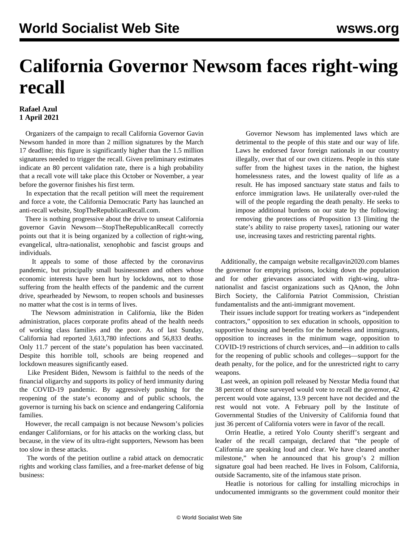## **California Governor Newsom faces right-wing recall**

## **Rafael Azul 1 April 2021**

 Organizers of the campaign to recall California Governor Gavin Newsom handed in more than 2 million signatures by the March 17 deadline; this figure is significantly higher than the 1.5 million signatures needed to trigger the recall. Given preliminary estimates indicate an 80 percent validation rate, there is a high probability that a recall vote will take place this October or November, a year before the governor finishes his first term.

 In expectation that the recall petition will meet the requirement and force a vote, the California Democratic Party has launched an anti-recall website, StopTheRepublicanRecall.com.

 There is nothing progressive about the drive to unseat California governor Gavin Newsom—StopTheRepublicanRecall correctly points out that it is being organized by a collection of right-wing, evangelical, ultra-nationalist, xenophobic and fascist groups and individuals.

 It appeals to some of those affected by the coronavirus pandemic, but principally small businessmen and others whose economic interests have been hurt by lockdowns, not to those suffering from the health effects of the pandemic and the current drive, spearheaded by Newsom, to reopen schools and businesses no matter what the cost is in terms of lives.

 The Newsom administration in California, like the Biden administration, places corporate profits ahead of the health needs of working class families and the poor. As of last Sunday, California had reported 3,613,780 infections and 56,833 deaths. Only 11.7 percent of the state's population has been vaccinated. Despite this horrible toll, schools are being reopened and lockdown measures significantly eased.

 Like President Biden, Newsom is faithful to the needs of the financial oligarchy and supports its policy of herd immunity during the COVID-19 pandemic. By aggressively pushing for the reopening of the state's economy and of public schools, the governor is turning his back on science and endangering California families.

 However, the recall campaign is not because Newsom's policies endanger Californians, or for his attacks on the working class, but because, in the view of its ultra-right supporters, Newsom has been too slow in these attacks.

 The words of the petition outline a rabid attack on democratic rights and working class families, and a free-market defense of big business:

 Governor Newsom has implemented laws which are detrimental to the people of this state and our way of life. Laws he endorsed favor foreign nationals in our country illegally, over that of our own citizens. People in this state suffer from the highest taxes in the nation, the highest homelessness rates, and the lowest quality of life as a result. He has imposed sanctuary state status and fails to enforce immigration laws. He unilaterally over-ruled the will of the people regarding the death penalty. He seeks to impose additional burdens on our state by the following: removing the protections of Proposition 13 [limiting the state's ability to raise property taxes], rationing our water use, increasing taxes and restricting parental rights.

 Additionally, the campaign website recallgavin2020.com blames the governor for emptying prisons, locking down the population and for other grievances associated with right-wing, ultranationalist and fascist organizations such as QAnon, the John Birch Society, the California Patriot Commission, Christian fundamentalists and the anti-immigrant movement.

 Their issues include support for treating workers as "independent contractors," opposition to sex education in schools, opposition to supportive housing and benefits for the homeless and immigrants, opposition to increases in the minimum wage, opposition to COVID-19 restrictions of church services, and—in addition to calls for the reopening of public schools and colleges—support for the death penalty, for the police, and for the unrestricted right to carry weapons.

 Last week, an opinion poll released by Nexstar Media found that 38 percent of those surveyed would vote to recall the governor, 42 percent would vote against, 13.9 percent have not decided and the rest would not vote. A February poll by the Institute of Governmental Studies of the University of California found that just 36 percent of California voters were in favor of the recall.

 Orrin Heatlie, a retired Yolo County sheriff's sergeant and leader of the recall campaign, declared that "the people of California are speaking loud and clear. We have cleared another milestone," when he announced that his group's 2 million signature goal had been reached. He lives in Folsom, California, outside Sacramento, site of the infamous state prison.

 Heatlie is notorious for calling for installing microchips in undocumented immigrants so the government could monitor their